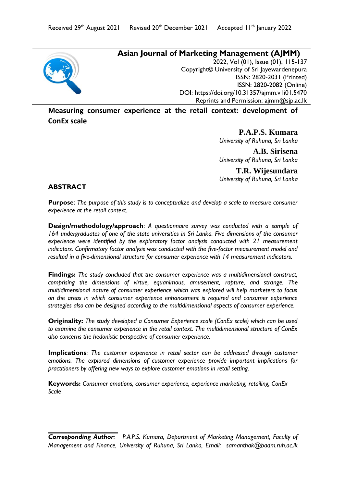# **Asian Journal of Marketing Management (AJMM)**

2022, Vol (01), Issue (01), 115-137 Copyright© University of Sri Jayewardenepura ISSN: 2820-2031 (Printed) ISSN: 2820-2082 (Online) DOI:<https://doi.org/10.31357/ajmm.v1i01.5470> Reprints and Permission: ajmm@sjp.ac.lk

**Measuring consumer experience at the retail context: development of ConEx scale**

> **P.A.P.S. Kumara** *University of Ruhuna, Sri Lanka*

> **A.B. Sirisena** *University of Ruhuna, Sri Lanka*

> **T.R. Wijesundara** *University of Ruhuna, Sri Lanka*

# **ABSTRACT**

**Purpose**: *The purpose of this study is to conceptualize and develop a scale to measure consumer experience at the retail context.*

**Design/methodology/approach**: *A questionnaire survey was conducted with a sample of 164 undergraduates of one of the state universities in Sri Lanka. Five dimensions of the consumer*  experience were identified by the exploratory factor analysis conducted with 21 measurement indicators. Confirmatory factor analysis was conducted with the five-factor measurement model and *resulted in a five-dimensional structure for consumer experience with 14 measurement indicators.*

**Findings:** *The study concluded that the consumer experience was a multidimensional construct, comprising the dimensions of virtue, equanimous, amusement, rapture, and strange. The multidimensional nature of consumer experience which was explored will help marketers to focus on the areas in which consumer experience enhancement is required and consumer experience strategies also can be designed according to the multidimensional aspects of consumer experience.*

**Originality:** *The study developed a Consumer Experience scale (ConEx scale) which can be used to examine the consumer experience in the retail context. The multidimensional structure of ConEx also concerns the hedonistic perspective of consumer experience.*

**Implications**: *The customer experience in retail sector can be addressed through customer emotions. The explored dimensions of customer experience provide important implications for practitioners by offering new ways to explore customer emotions in retail setting.*

**Keywords:** *Consumer emotions, consumer experience, experience marketing, retailing, ConEx Scale*

*Corresponding Author: P.A.P.S. Kumara, Department of Marketing Management, Faculty of Management and Finance, University of Ruhuna, Sri Lanka, Email: [samanthak@badm.ruh.ac.lk](mailto:samanthak@badm.ruh.ac.lk)*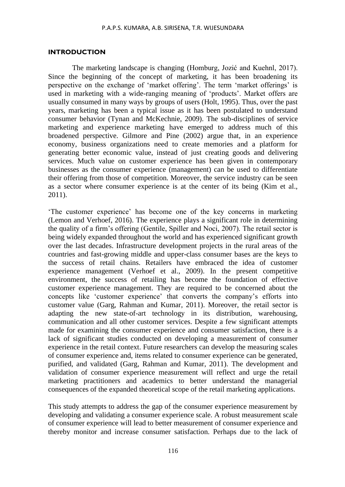#### **INTRODUCTION**

The marketing landscape is changing (Homburg, Jozić and Kuehnl, 2017). Since the beginning of the concept of marketing, it has been broadening its perspective on the exchange of 'market offering'. The term 'market offerings' is used in marketing with a wide-ranging meaning of 'products'. Market offers are usually consumed in many ways by groups of users (Holt, 1995). Thus, over the past years, marketing has been a typical issue as it has been postulated to understand consumer behavior (Tynan and McKechnie, 2009). The sub-disciplines of service marketing and experience marketing have emerged to address much of this broadened perspective. Gilmore and Pine (2002) argue that, in an experience economy, business organizations need to create memories and a platform for generating better economic value, instead of just creating goods and delivering services. Much value on customer experience has been given in contemporary businesses as the consumer experience (management) can be used to differentiate their offering from those of competition. Moreover, the service industry can be seen as a sector where consumer experience is at the center of its being (Kim et al., 2011).

'The customer experience' has become one of the key concerns in marketing (Lemon and Verhoef, 2016). The experience plays a significant role in determining the quality of a firm's offering (Gentile, Spiller and Noci, 2007). The retail sector is being widely expanded throughout the world and has experienced significant growth over the last decades. Infrastructure development projects in the rural areas of the countries and fast-growing middle and upper-class consumer bases are the keys to the success of retail chains. Retailers have embraced the idea of customer experience management (Verhoef et al., 2009). In the present competitive environment, the success of retailing has become the foundation of effective customer experience management. They are required to be concerned about the concepts like 'customer experience' that converts the company's efforts into customer value (Garg, Rahman and Kumar, 2011). Moreover, the retail sector is adapting the new state-of-art technology in its distribution, warehousing, communication and all other customer services. Despite a few significant attempts made for examining the consumer experience and consumer satisfaction, there is a lack of significant studies conducted on developing a measurement of consumer experience in the retail context. Future researchers can develop the measuring scales of consumer experience and, items related to consumer experience can be generated, purified, and validated (Garg, Rahman and Kumar, 2011). The development and validation of consumer experience measurement will reflect and urge the retail marketing practitioners and academics to better understand the managerial consequences of the expanded theoretical scope of the retail marketing applications.

This study attempts to address the gap of the consumer experience measurement by developing and validating a consumer experience scale. A robust measurement scale of consumer experience will lead to better measurement of consumer experience and thereby monitor and increase consumer satisfaction. Perhaps due to the lack of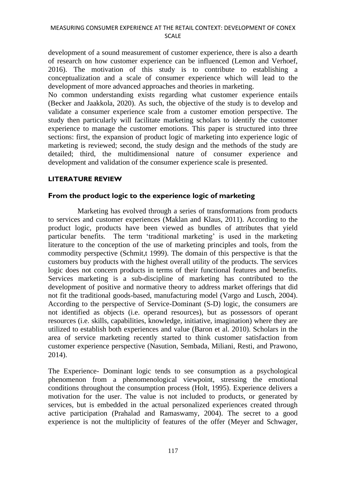development of a sound measurement of customer experience, there is also a dearth of research on how customer experience can be influenced (Lemon and Verhoef, 2016). The motivation of this study is to contribute to establishing a conceptualization and a scale of consumer experience which will lead to the development of more advanced approaches and theories in marketing.

No common understanding exists regarding what customer experience entails (Becker and Jaakkola, 2020). As such, the objective of the study is to develop and validate a consumer experience scale from a customer emotion perspective. The study then particularly will facilitate marketing scholars to identify the customer experience to manage the customer emotions. This paper is structured into three sections: first, the expansion of product logic of marketing into experience logic of marketing is reviewed; second, the study design and the methods of the study are detailed; third, the multidimensional nature of consumer experience and development and validation of the consumer experience scale is presented.

# **LITERATURE REVIEW**

# **From the product logic to the experience logic of marketing**

 Marketing has evolved through a series of transformations from products to services and customer experiences (Maklan and Klaus, 2011). According to the product logic, products have been viewed as bundles of attributes that yield particular benefits. The term 'traditional marketing' is used in the marketing literature to the conception of the use of marketing principles and tools, from the commodity perspective (Schmit,t 1999). The domain of this perspective is that the customers buy products with the highest overall utility of the products. The services logic does not concern products in terms of their functional features and benefits. Services marketing is a sub-discipline of marketing has contributed to the development of positive and normative theory to address market offerings that did not fit the traditional goods-based, manufacturing model (Vargo and Lusch, 2004). According to the perspective of Service-Dominant (S-D) logic, the consumers are not identified as objects (i.e. operand resources), but as possessors of operant resources (i.e. skills, capabilities, knowledge, initiative, imagination) where they are utilized to establish both experiences and value (Baron et al. 2010). Scholars in the area of service marketing recently started to think customer satisfaction from customer experience perspective (Nasution, Sembada, Miliani, Resti, and Prawono, 2014).

The Experience- Dominant logic tends to see consumption as a psychological phenomenon from a phenomenological viewpoint, stressing the emotional conditions throughout the consumption process (Holt, 1995). Experience delivers a motivation for the user. The value is not included to products, or generated by services, but is embedded in the actual personalized experiences created through active participation (Prahalad and Ramaswamy, 2004). The secret to a good experience is not the multiplicity of features of the offer (Meyer and Schwager,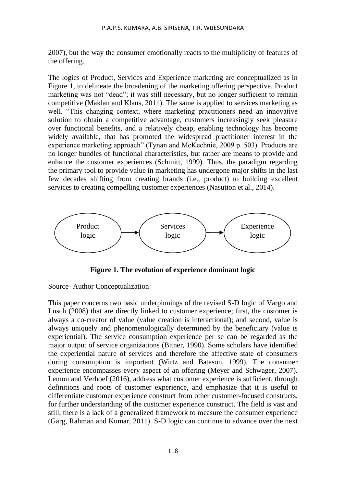2007), but the way the consumer emotionally reacts to the multiplicity of features of the offering.

The logics of Product, Services and Experience marketing are conceptualized as in Figure 1, to delineate the broadening of the marketing offering perspective. Product marketing was not "dead"; it was still necessary, but no longer sufficient to remain competitive (Maklan and Klaus, 2011). The same is applied to services marketing as well. "This changing context, where marketing practitioners need an innovative solution to obtain a competitive advantage, customers increasingly seek pleasure over functional benefits, and a relatively cheap, enabling technology has become widely available, that has promoted the widespread practitioner interest in the experience marketing approach" (Tynan and McKechnie, 2009 p. 503). Products are no longer bundles of functional characteristics, but rather are means to provide and enhance the customer experiences (Schmitt, 1999). Thus, the paradigm regarding the primary tool to provide value in marketing has undergone major shifts in the last few decades shifting from creating brands (i.e., product) to building excellent services to creating compelling customer experiences (Nasution et al., 2014).



**Figure 1. The evolution of experience dominant logic**

Source- Author Conceptualization

This paper concerns two basic underpinnings of the revised S-D logic of Vargo and Lusch (2008) that are directly linked to customer experience; first, the customer is always a co-creator of value (value creation is interactional); and second, value is always uniquely and phenomenologically determined by the beneficiary (value is experiential). The service consumption experience per se can be regarded as the major output of service organizations (Bitner, 1990). Some scholars have identified the experiential nature of services and therefore the affective state of consumers during consumption is important (Wirtz and Bateson, 1999). The consumer experience encompasses every aspect of an offering (Meyer and Schwager, 2007). Lemon and Verhoef (2016), address what customer experience is sufficient, through definitions and roots of customer experience, and emphasize that it is useful to differentiate customer experience construct from other customer-focused constructs, for further understanding of the customer experience construct. The field is vast and still, there is a lack of a generalized framework to measure the consumer experience (Garg, Rahman and Kumar, 2011). S-D logic can continue to advance over the next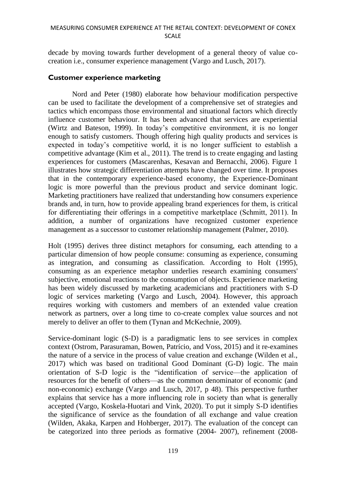#### MEASURING CONSUMER EXPERIENCE AT THE RETAIL CONTEXT: DEVELOPMENT OF CONEX SCALE

decade by moving towards further development of a general theory of value cocreation i.e., consumer experience management (Vargo and Lusch, 2017).

# **Customer experience marketing**

Nord and Peter (1980) elaborate how behaviour modification perspective can be used to facilitate the development of a comprehensive set of strategies and tactics which encompass those environmental and situational factors which directly influence customer behaviour. It has been advanced that services are experiential (Wirtz and Bateson, 1999). In today's competitive environment, it is no longer enough to satisfy customers. Though offering high quality products and services is expected in today's competitive world, it is no longer sufficient to establish a competitive advantage (Kim et al., 2011). The trend is to create engaging and lasting experiences for customers (Mascarenhas, Kesavan and Bernacchi, 2006). Figure 1 illustrates how strategic differentiation attempts have changed over time. It proposes that in the contemporary experience-based economy, the Experience-Dominant logic is more powerful than the previous product and service dominant logic. Marketing practitioners have realized that understanding how consumers experience brands and, in turn, how to provide appealing brand experiences for them, is critical for differentiating their offerings in a competitive marketplace (Schmitt, 2011). In addition, a number of organizations have recognized customer experience management as a successor to customer relationship management (Palmer, 2010).

Holt (1995) derives three distinct metaphors for consuming, each attending to a particular dimension of how people consume: consuming as experience, consuming as integration, and consuming as classification. According to Holt (1995), consuming as an experience metaphor underlies research examining consumers' subjective, emotional reactions to the consumption of objects. Experience marketing has been widely discussed by marketing academicians and practitioners with S-D logic of services marketing (Vargo and Lusch, 2004). However, this approach requires working with customers and members of an extended value creation network as partners, over a long time to co-create complex value sources and not merely to deliver an offer to them (Tynan and McKechnie, 2009).

Service-dominant logic (S-D) is a paradigmatic lens to see services in complex context (Ostrom, Parasuraman, Bowen, Patrício, and Voss, 2015) and it re-examines the nature of a service in the process of value creation and exchange (Wilden et al., 2017) which was based on traditional Good Dominant (G-D) logic. The main orientation of S-D logic is the "identification of service—the application of resources for the benefit of others—as the common denominator of economic (and non-economic) exchange (Vargo and Lusch, 2017, p 48). This perspective further explains that service has a more influencing role in society than what is generally accepted (Vargo, Koskela-Huotari and Vink, 2020). To put it simply S-D identifies the significance of service as the foundation of all exchange and value creation (Wilden, Akaka, Karpen and Hohberger, 2017). The evaluation of the concept can be categorized into three periods as formative (2004- 2007), refinement (2008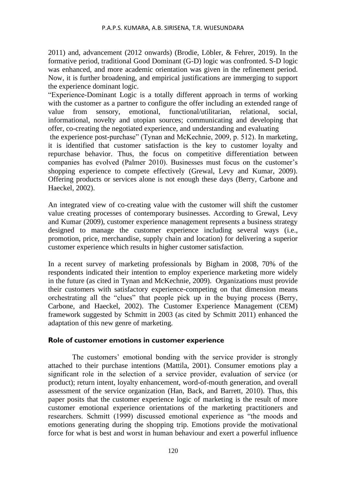2011) and, advancement (2012 onwards) (Brodie, Löbler, & Fehrer, 2019). In the formative period, traditional Good Dominant (G-D) logic was confronted. S-D logic was enhanced, and more academic orientation was given in the refinement period. Now, it is further broadening, and empirical justifications are immerging to support the experience dominant logic.

"Experience-Dominant Logic is a totally different approach in terms of working with the customer as a partner to configure the offer including an extended range of value from sensory, emotional, functional/utilitarian, relational, social, informational, novelty and utopian sources; communicating and developing that offer, co-creating the negotiated experience, and understanding and evaluating

the experience post-purchase" (Tynan and McKechnie, 2009, p. 512). In marketing, it is identified that customer satisfaction is the key to customer loyalty and repurchase behavior. Thus, the focus on competitive differentiation between companies has evolved (Palmer 2010). Businesses must focus on the customer's shopping experience to compete effectively (Grewal, Levy and Kumar, 2009). Offering products or services alone is not enough these days (Berry, Carbone and Haeckel, 2002).

An integrated view of co-creating value with the customer will shift the customer value creating processes of contemporary businesses. According to Grewal, Levy and Kumar (2009), customer experience management represents a business strategy designed to manage the customer experience including several ways (i.e., promotion, price, merchandise, supply chain and location) for delivering a superior customer experience which results in higher customer satisfaction.

In a recent survey of marketing professionals by Bigham in 2008, 70% of the respondents indicated their intention to employ experience marketing more widely in the future (as cited in Tynan and McKechnie, 2009). Organizations must provide their customers with satisfactory experience-competing on that dimension means orchestrating all the "clues" that people pick up in the buying process (Berry, Carbone, and Haeckel, 2002). The Customer Experience Management (CEM) framework suggested by Schmitt in 2003 (as cited by Schmitt 2011) enhanced the adaptation of this new genre of marketing.

#### **Role of customer emotions in customer experience**

The customers' emotional bonding with the service provider is strongly attached to their purchase intentions (Mattila, 2001). Consumer emotions play a significant role in the selection of a service provider, evaluation of service (or product); return intent, loyalty enhancement, word-of-mouth generation, and overall assessment of the service organization (Han, Back, and Barrett, 2010). Thus, this paper posits that the customer experience logic of marketing is the result of more customer emotional experience orientations of the marketing practitioners and researchers. Schmitt (1999) discussed emotional experience as "the moods and emotions generating during the shopping trip. Emotions provide the motivational force for what is best and worst in human behaviour and exert a powerful influence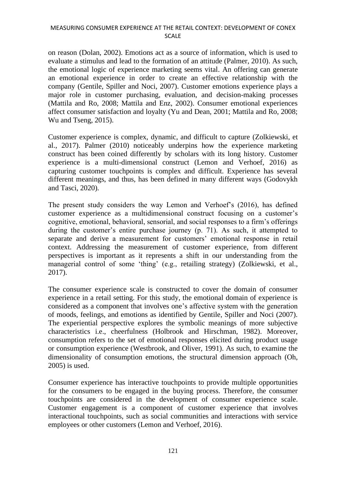### MEASURING CONSUMER EXPERIENCE AT THE RETAIL CONTEXT: DEVELOPMENT OF CONEX SCALE

on reason (Dolan, 2002). Emotions act as a source of information, which is used to evaluate a stimulus and lead to the formation of an attitude (Palmer, 2010). As such, the emotional logic of experience marketing seems vital. An offering can generate an emotional experience in order to create an effective relationship with the company (Gentile, Spiller and Noci, 2007). Customer emotions experience plays a major role in customer purchasing, evaluation, and decision-making processes (Mattila and Ro, 2008; Mattila and Enz, 2002). Consumer emotional experiences affect consumer satisfaction and loyalty (Yu and Dean, 2001; Mattila and Ro, 2008; Wu and Tseng, 2015).

Customer experience is complex, dynamic, and difficult to capture (Zolkiewski, et al., 2017). Palmer (2010) noticeably underpins how the experience marketing construct has been coined differently by scholars with its long history. Customer experience is a multi-dimensional construct (Lemon and Verhoef, 2016) as capturing customer touchpoints is complex and difficult. Experience has several different meanings, and thus, has been defined in many different ways (Godovykh and Tasci, 2020).

The present study considers the way Lemon and Verhoef's (2016), has defined customer experience as a multidimensional construct focusing on a customer's cognitive, emotional, behavioral, sensorial, and social responses to a firm's offerings during the customer's entire purchase journey (p. 71). As such, it attempted to separate and derive a measurement for customers' emotional response in retail context. Addressing the measurement of customer experience, from different perspectives is important as it represents a shift in our understanding from the managerial control of some 'thing' (e.g., retailing strategy) (Zolkiewski, et al., 2017).

The consumer experience scale is constructed to cover the domain of consumer experience in a retail setting. For this study, the emotional domain of experience is considered as a component that involves one's affective system with the generation of moods, feelings, and emotions as identified by Gentile, Spiller and Noci (2007). The experiential perspective explores the symbolic meanings of more subjective characteristics i.e., cheerfulness (Holbrook and Hirschman, 1982). Moreover, consumption refers to the set of emotional responses elicited during product usage or consumption experience (Westbrook, and Oliver, 1991). As such, to examine the dimensionality of consumption emotions, the structural dimension approach (Oh, 2005) is used.

Consumer experience has interactive touchpoints to provide multiple opportunities for the consumers to be engaged in the buying process. Therefore, the consumer touchpoints are considered in the development of consumer experience scale. Customer engagement is a component of customer experience that involves interactional touchpoints, such as social communities and interactions with service employees or other customers (Lemon and Verhoef, 2016).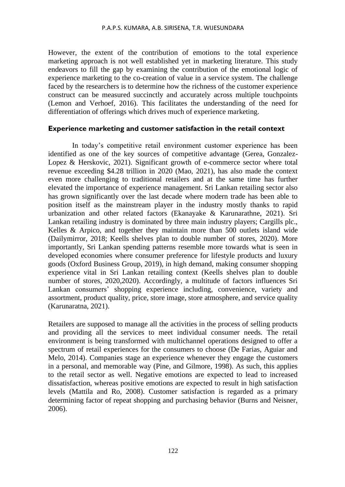However, the extent of the contribution of emotions to the total experience marketing approach is not well established yet in marketing literature. This study endeavors to fill the gap by examining the contribution of the emotional logic of experience marketing to the co-creation of value in a service system. The challenge faced by the researchers is to determine how the richness of the customer experience construct can be measured succinctly and accurately across multiple touchpoints (Lemon and Verhoef, 2016). This facilitates the understanding of the need for differentiation of offerings which drives much of experience marketing.

#### **Experience marketing and customer satisfaction in the retail context**

In today's competitive retail environment customer experience has been identified as one of the key sources of competitive advantage (Gerea, Gonzalez-Lopez & Herskovic, 2021). Significant growth of e-commerce sector where total revenue exceeding \$4.28 trillion in 2020 (Mao, 2021), has also made the context even more challenging to traditional retailers and at the same time has further elevated the importance of experience management. Sri Lankan retailing sector also has grown significantly over the last decade where modern trade has been able to position itself as the mainstream player in the industry mostly thanks to rapid urbanization and other related factors (Ekanayake & Karunarathne, 2021). Sri Lankan retailing industry is dominated by three main industry players; Cargills plc., Kelles & Arpico, and together they maintain more than 500 outlets island wide (Dailymirror, 2018; Keells shelves plan to double number of stores, 2020). More importantly, Sri Lankan spending patterns resemble more towards what is seen in developed economies where consumer preference for lifestyle products and luxury goods (Oxford Business Group, 2019), in high demand, making consumer shopping experience vital in Sri Lankan retailing context (Keells shelves plan to double number of stores, 2020,2020). Accordingly, a multitude of factors influences Sri Lankan consumers' shopping experience including, convenience, variety and assortment, product quality, price, store image, store atmosphere, and service quality (Karunaratna, 2021).

Retailers are supposed to manage all the activities in the process of selling products and providing all the services to meet individual consumer needs. The retail environment is being transformed with multichannel operations designed to offer a spectrum of retail experiences for the consumers to choose (De Farias, Aguiar and Melo, 2014). Companies stage an experience whenever they engage the customers in a personal, and memorable way (Pine, and Gilmore, 1998). As such, this applies to the retail sector as well. Negative emotions are expected to lead to increased dissatisfaction, whereas positive emotions are expected to result in high satisfaction levels (Mattila and Ro, 2008). Customer satisfaction is regarded as a primary determining factor of repeat shopping and purchasing behavior (Burns and Neisner, 2006).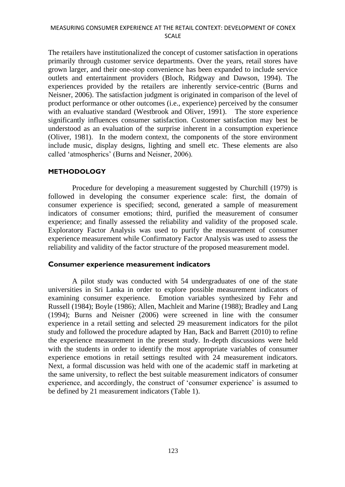The retailers have institutionalized the concept of customer satisfaction in operations primarily through customer service departments. Over the years, retail stores have grown larger, and their one-stop convenience has been expanded to include service outlets and entertainment providers (Bloch, Ridgway and Dawson, 1994). The experiences provided by the retailers are inherently service-centric (Burns and Neisner, 2006). The satisfaction judgment is originated in comparison of the level of product performance or other outcomes (i.e., experience) perceived by the consumer with an evaluative standard (Westbrook and Oliver, 1991). The store experience significantly influences consumer satisfaction. Customer satisfaction may best be understood as an evaluation of the surprise inherent in a consumption experience (Oliver, 1981). In the modern context, the components of the store environment include music, display designs, lighting and smell etc. These elements are also called 'atmospherics' (Burns and Neisner, 2006).

#### **METHODOLOGY**

Procedure for developing a measurement suggested by Churchill (1979) is followed in developing the consumer experience scale: first, the domain of consumer experience is specified; second, generated a sample of measurement indicators of consumer emotions; third, purified the measurement of consumer experience; and finally assessed the reliability and validity of the proposed scale. Exploratory Factor Analysis was used to purify the measurement of consumer experience measurement while Confirmatory Factor Analysis was used to assess the reliability and validity of the factor structure of the proposed measurement model.

#### **Consumer experience measurement indicators**

A pilot study was conducted with 54 undergraduates of one of the state universities in Sri Lanka in order to explore possible measurement indicators of examining consumer experience. Emotion variables synthesized by Fehr and Russell (1984); Boyle (1986); Allen, Machleit and Marine (1988); Bradley and Lang (1994); Burns and Neisner (2006) were screened in line with the consumer experience in a retail setting and selected 29 measurement indicators for the pilot study and followed the procedure adapted by Han, Back and Barrett (2010) to refine the experience measurement in the present study. In-depth discussions were held with the students in order to identify the most appropriate variables of consumer experience emotions in retail settings resulted with 24 measurement indicators. Next, a formal discussion was held with one of the academic staff in marketing at the same university, to reflect the best suitable measurement indicators of consumer experience, and accordingly, the construct of 'consumer experience' is assumed to be defined by 21 measurement indicators (Table 1).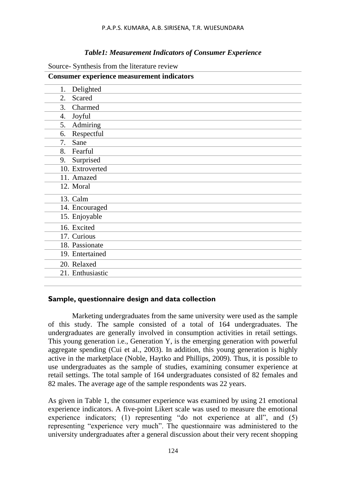## *Table1: Measurement Indicators of Consumer Experience*

| Source- Synthesis from the literature review |  |  |
|----------------------------------------------|--|--|
|                                              |  |  |

| <b>Consumer experience measurement indicators</b> |
|---------------------------------------------------|
| Delighted<br>1.                                   |
| 2.<br>Scared                                      |
| Charmed<br>3.                                     |
| Joyful<br>4.                                      |
| Admiring<br>5.                                    |
| Respectful<br>6.                                  |
| Sane<br>7.                                        |
| Fearful<br>8.                                     |
| Surprised<br>9.                                   |
| 10. Extroverted                                   |
| 11. Amazed                                        |
| 12. Moral                                         |
| 13. Calm                                          |
| 14. Encouraged                                    |
| 15. Enjoyable                                     |
| 16. Excited                                       |
| 17. Curious                                       |
| 18. Passionate                                    |
| 19. Entertained                                   |
| 20. Relaxed                                       |
| 21. Enthusiastic                                  |
|                                                   |

# **Sample, questionnaire design and data collection**

Marketing undergraduates from the same university were used as the sample of this study. The sample consisted of a total of 164 undergraduates. The undergraduates are generally involved in consumption activities in retail settings. This young generation i.e., Generation Y, is the emerging generation with powerful aggregate spending (Cui et al., 2003). In addition, this young generation is highly active in the marketplace (Noble, Haytko and Phillips, 2009). Thus, it is possible to use undergraduates as the sample of studies, examining consumer experience at retail settings. The total sample of 164 undergraduates consisted of 82 females and 82 males. The average age of the sample respondents was 22 years.

As given in Table 1, the consumer experience was examined by using 21 emotional experience indicators. A five-point Likert scale was used to measure the emotional experience indicators; (1) representing "do not experience at all", and (5) representing "experience very much". The questionnaire was administered to the university undergraduates after a general discussion about their very recent shopping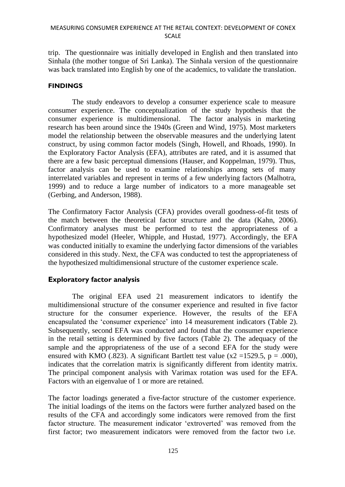trip. The questionnaire was initially developed in English and then translated into Sinhala (the mother tongue of Sri Lanka). The Sinhala version of the questionnaire was back translated into English by one of the academics, to validate the translation.

### **FINDINGS**

The study endeavors to develop a consumer experience scale to measure consumer experience. The conceptualization of the study hypothesis that the consumer experience is multidimensional. The factor analysis in marketing research has been around since the 1940s (Green and Wind, 1975). Most marketers model the relationship between the observable measures and the underlying latent construct, by using common factor models (Singh, Howell, and Rhoads, 1990). In the Exploratory Factor Analysis (EFA), attributes are rated, and it is assumed that there are a few basic perceptual dimensions (Hauser, and Koppelman, 1979). Thus, factor analysis can be used to examine relationships among sets of many interrelated variables and represent in terms of a few underlying factors (Malhotra, 1999) and to reduce a large number of indicators to a more manageable set (Gerbing, and Anderson, 1988).

The Confirmatory Factor Analysis (CFA) provides overall goodness-of-fit tests of the match between the theoretical factor structure and the data (Kahn, 2006). Confirmatory analyses must be performed to test the appropriateness of a hypothesized model (Heeler, Whipple, and Hustad, 1977). Accordingly, the EFA was conducted initially to examine the underlying factor dimensions of the variables considered in this study. Next, the CFA was conducted to test the appropriateness of the hypothesized multidimensional structure of the customer experience scale.

# **Exploratory factor analysis**

The original EFA used 21 measurement indicators to identify the multidimensional structure of the consumer experience and resulted in five factor structure for the consumer experience. However, the results of the EFA encapsulated the 'consumer experience' into 14 measurement indicators (Table 2). Subsequently, second EFA was conducted and found that the consumer experience in the retail setting is determined by five factors (Table 2). The adequacy of the sample and the appropriateness of the use of a second EFA for the study were ensured with KMO (.823). A significant Bartlett test value ( $x2 = 1529.5$ ,  $p = .000$ ), indicates that the correlation matrix is significantly different from identity matrix. The principal component analysis with Varimax rotation was used for the EFA. Factors with an eigenvalue of 1 or more are retained.

The factor loadings generated a five-factor structure of the customer experience. The initial loadings of the items on the factors were further analyzed based on the results of the CFA and accordingly some indicators were removed from the first factor structure. The measurement indicator 'extroverted' was removed from the first factor; two measurement indicators were removed from the factor two i.e.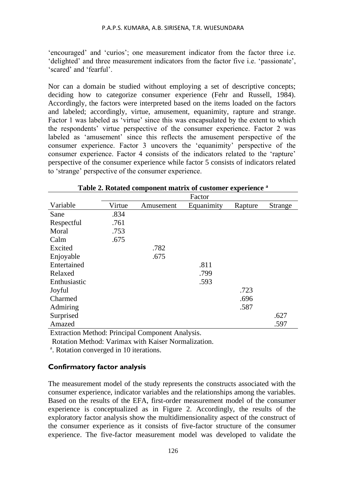'encouraged' and 'curios'; one measurement indicator from the factor three i.e. 'delighted' and three measurement indicators from the factor five i.e. 'passionate', 'scared' and 'fearful'.

Nor can a domain be studied without employing a set of descriptive concepts; deciding how to categorize consumer experience (Fehr and Russell, 1984). Accordingly, the factors were interpreted based on the items loaded on the factors and labeled; accordingly, virtue, amusement, equanimity, rapture and strange. Factor 1 was labeled as 'virtue' since this was encapsulated by the extent to which the respondents' virtue perspective of the consumer experience. Factor 2 was labeled as 'amusement' since this reflects the amusement perspective of the consumer experience. Factor 3 uncovers the 'equanimity' perspective of the consumer experience. Factor 4 consists of the indicators related to the 'rapture' perspective of the consumer experience while factor 5 consists of indicators related to 'strange' perspective of the consumer experience.

|              |        |           | Factor     |         |                |
|--------------|--------|-----------|------------|---------|----------------|
| Variable     | Virtue | Amusement | Equanimity | Rapture | <b>Strange</b> |
| Sane         | .834   |           |            |         |                |
| Respectful   | .761   |           |            |         |                |
| Moral        | .753   |           |            |         |                |
| Calm         | .675   |           |            |         |                |
| Excited      |        | .782      |            |         |                |
| Enjoyable    |        | .675      |            |         |                |
| Entertained  |        |           | .811       |         |                |
| Relaxed      |        |           | .799       |         |                |
| Enthusiastic |        |           | .593       |         |                |
| Joyful       |        |           |            | .723    |                |
| Charmed      |        |           |            | .696    |                |
| Admiring     |        |           |            | .587    |                |
| Surprised    |        |           |            |         | .627           |
| Amazed       |        |           |            |         | .597           |

| Table 2. Rotated component matrix of customer experience a |  |  |  |  |  |  |  |  |  |  |  |
|------------------------------------------------------------|--|--|--|--|--|--|--|--|--|--|--|
|------------------------------------------------------------|--|--|--|--|--|--|--|--|--|--|--|

Extraction Method: Principal Component Analysis.

Rotation Method: Varimax with Kaiser Normalization.

a. Rotation converged in 10 iterations.

# **Confirmatory factor analysis**

The measurement model of the study represents the constructs associated with the consumer experience, indicator variables and the relationships among the variables. Based on the results of the EFA, first-order measurement model of the consumer experience is conceptualized as in Figure 2. Accordingly, the results of the exploratory factor analysis show the multidimensionality aspect of the construct of the consumer experience as it consists of five-factor structure of the consumer experience. The five-factor measurement model was developed to validate the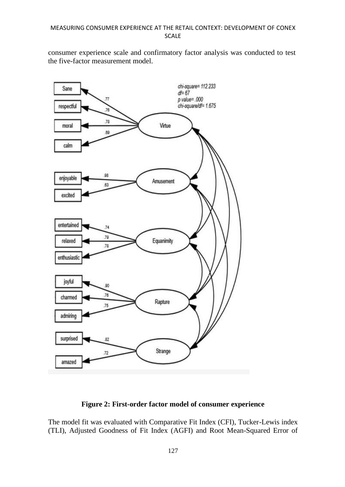consumer experience scale and confirmatory factor analysis was conducted to test the five-factor measurement model.



# **Figure 2: First-order factor model of consumer experience**

The model fit was evaluated with Comparative Fit Index (CFI), Tucker-Lewis index (TLI), Adjusted Goodness of Fit Index (AGFI) and Root Mean-Squared Error of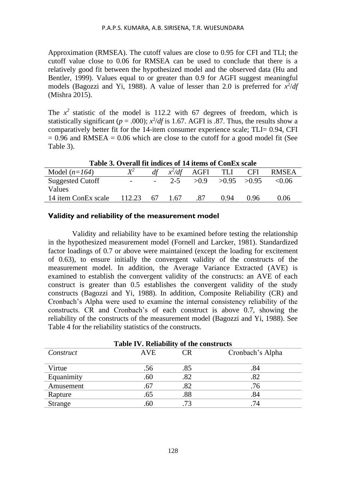Approximation (RMSEA). The cutoff values are close to 0.95 for CFI and TLI; the cutoff value close to 0.06 for RMSEA can be used to conclude that there is a relatively good fit between the hypothesized model and the observed data (Hu and Bentler, 1999). Values equal to or greater than 0.9 for AGFI suggest meaningful models (Bagozzi and Yi, 1988). A value of lesser than 2.0 is preferred for  $x^2/df$ (Mishra 2015).

The  $x^2$  statistic of the model is 112.2 with 67 degrees of freedom, which is statistically significant ( $p = .000$ );  $x^2/df$  is 1.67. AGFI is .87. Thus, the results show a comparatively better fit for the 14-item consumer experience scale; TLI= 0.94, CFI  $= 0.96$  and RMSEA  $= 0.06$  which are close to the cutoff for a good model fit (See Table 3).

| Table 5. Overall IIt indices of 14 items of Conex scale |                          |     |         |                   |                 |            |              |  |
|---------------------------------------------------------|--------------------------|-----|---------|-------------------|-----------------|------------|--------------|--|
| Model $(n=164)$                                         | $\mathbf{Y}^2$           |     |         | $x^2/df$ AGFI TLI |                 | <b>CFI</b> | <b>RMSEA</b> |  |
| <b>Suggested Cutoff</b>                                 | $\overline{\phantom{0}}$ |     | $2 - 5$ | >0.9              | $>0.95$ $>0.95$ |            | < 0.06       |  |
| Values                                                  |                          |     |         |                   |                 |            |              |  |
| 14 item ConEx scale                                     | 112.23                   | -67 | 1.67    | .87               | 0.94            | 0.96       | 0.06         |  |
|                                                         |                          |     |         |                   |                 |            |              |  |

**Table 3. Overall fit indices of 14 items of ConEx scale** 

#### **Validity and reliability of the measurement model**

Validity and reliability have to be examined before testing the relationship in the hypothesized measurement model (Fornell and Larcker, 1981). Standardized factor loadings of 0.7 or above were maintained (except the loading for excitement of 0.63), to ensure initially the convergent validity of the constructs of the measurement model. In addition, the Average Variance Extracted (AVE) is examined to establish the convergent validity of the constructs: an AVE of each construct is greater than 0.5 establishes the convergent validity of the study constructs (Bagozzi and Yi, 1988). In addition, Composite Reliability (CR) and Cronbach's Alpha were used to examine the internal consistency reliability of the constructs. CR and Cronbach's of each construct is above 0.7, showing the reliability of the constructs of the measurement model (Bagozzi and Yi, 1988). See Table 4 for the reliability statistics of the constructs.

| Table IV. Reliability of the constructs |            |     |                  |  |  |  |  |  |
|-----------------------------------------|------------|-----|------------------|--|--|--|--|--|
| Construct                               | <b>AVE</b> | CR. | Cronbach's Alpha |  |  |  |  |  |
| Virtue                                  | .56        | .85 | .84              |  |  |  |  |  |
| Equanimity                              | .60        | .82 | .82              |  |  |  |  |  |
| Amusement                               | .67        | .82 | .76              |  |  |  |  |  |
| Rapture                                 | .65        | .88 | .84              |  |  |  |  |  |
| Strange                                 | .60        | .73 | 74               |  |  |  |  |  |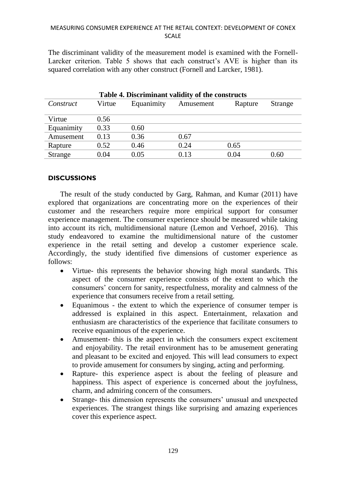### MEASURING CONSUMER EXPERIENCE AT THE RETAIL CONTEXT: DEVELOPMENT OF CONEX SCALE

The discriminant validity of the measurement model is examined with the Fornell-Larcker criterion. Table 5 shows that each construct's AVE is higher than its squared correlation with any other construct (Fornell and Larcker, 1981).

| Table 4. Discriminant validity of the constructs |        |            |           |         |                |  |  |  |  |
|--------------------------------------------------|--------|------------|-----------|---------|----------------|--|--|--|--|
| Construct                                        | Virtue | Equanimity | Amusement | Rapture | <b>Strange</b> |  |  |  |  |
| Virtue                                           | 0.56   |            |           |         |                |  |  |  |  |
| Equanimity                                       | 0.33   | 0.60       |           |         |                |  |  |  |  |
| Amusement                                        | 0.13   | 0.36       | 0.67      |         |                |  |  |  |  |
| Rapture                                          | 0.52   | 0.46       | 0.24      | 0.65    |                |  |  |  |  |
| <b>Strange</b>                                   | 0.04   | 0.05       | 0.13      | 0.04    | 0.60           |  |  |  |  |

## **DISCUSSIONS**

The result of the study conducted by Garg, Rahman, and Kumar (2011) have explored that organizations are concentrating more on the experiences of their customer and the researchers require more empirical support for consumer experience management. The consumer experience should be measured while taking into account its rich, multidimensional nature (Lemon and Verhoef, 2016). This study endeavored to examine the multidimensional nature of the customer experience in the retail setting and develop a customer experience scale. Accordingly, the study identified five dimensions of customer experience as follows:

- Virtue- this represents the behavior showing high moral standards. This aspect of the consumer experience consists of the extent to which the consumers' concern for sanity, respectfulness, morality and calmness of the experience that consumers receive from a retail setting.
- Equanimous the extent to which the experience of consumer temper is addressed is explained in this aspect. Entertainment, relaxation and enthusiasm are characteristics of the experience that facilitate consumers to receive equanimous of the experience.
- Amusement- this is the aspect in which the consumers expect excitement and enjoyability. The retail environment has to be amusement generating and pleasant to be excited and enjoyed. This will lead consumers to expect to provide amusement for consumers by singing, acting and performing.
- Rapture- this experience aspect is about the feeling of pleasure and happiness. This aspect of experience is concerned about the joyfulness, charm, and admiring concern of the consumers.
- Strange- this dimension represents the consumers' unusual and unexpected experiences. The strangest things like surprising and amazing experiences cover this experience aspect.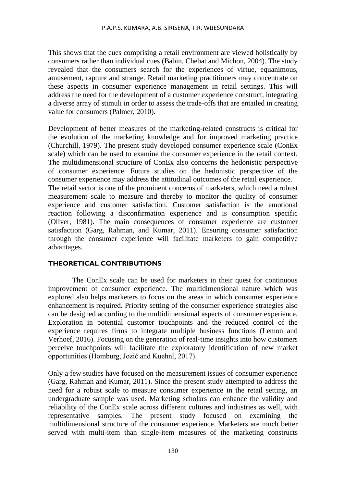This shows that the cues comprising a retail environment are viewed holistically by consumers rather than individual cues (Babin, Chebat and Michon, 2004). The study revealed that the consumers search for the experiences of virtue, equanimous, amusement, rapture and strange. Retail marketing practitioners may concentrate on these aspects in consumer experience management in retail settings. This will address the need for the development of a customer experience construct, integrating a diverse array of stimuli in order to assess the trade-offs that are entailed in creating value for consumers (Palmer, 2010).

Development of better measures of the marketing-related constructs is critical for the evolution of the marketing knowledge and for improved marketing practice (Churchill, 1979). The present study developed consumer experience scale (ConEx scale) which can be used to examine the consumer experience in the retail context. The multidimensional structure of ConEx also concerns the hedonistic perspective of consumer experience. Future studies on the hedonistic perspective of the consumer experience may address the attitudinal outcomes of the retail experience. The retail sector is one of the prominent concerns of marketers, which need a robust measurement scale to measure and thereby to monitor the quality of consumer experience and customer satisfaction. Customer satisfaction is the emotional reaction following a disconfirmation experience and is consumption specific (Oliver, 1981). The main consequences of consumer experience are customer

satisfaction (Garg, Rahman, and Kumar, 2011). Ensuring consumer satisfaction through the consumer experience will facilitate marketers to gain competitive advantages.

# **THEORETICAL CONTRIBUTIONS**

The ConEx scale can be used for marketers in their quest for continuous improvement of consumer experience. The multidimensional nature which was explored also helps marketers to focus on the areas in which consumer experience enhancement is required. Priority setting of the consumer experience strategies also can be designed according to the multidimensional aspects of consumer experience. Exploration in potential customer touchpoints and the reduced control of the experience requires firms to integrate multiple business functions (Lemon and Verhoef, 2016). Focusing on the generation of real-time insights into how customers perceive touchpoints will facilitate the exploratory identification of new market opportunities (Homburg, Jozić and Kuehnl, 2017).

Only a few studies have focused on the measurement issues of consumer experience (Garg, Rahman and Kumar, 2011). Since the present study attempted to address the need for a robust scale to measure consumer experience in the retail setting, an undergraduate sample was used. Marketing scholars can enhance the validity and reliability of the ConEx scale across different cultures and industries as well, with representative samples. The present study focused on examining the multidimensional structure of the consumer experience. Marketers are much better served with multi-item than single-item measures of the marketing constructs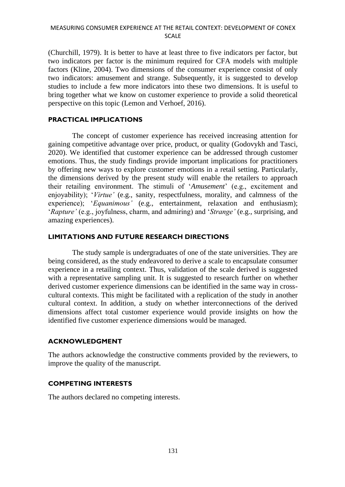(Churchill, 1979). It is better to have at least three to five indicators per factor, but two indicators per factor is the minimum required for CFA models with multiple factors (Kline, 2004). Two dimensions of the consumer experience consist of only two indicators: amusement and strange. Subsequently, it is suggested to develop studies to include a few more indicators into these two dimensions. It is useful to bring together what we know on customer experience to provide a solid theoretical perspective on this topic (Lemon and Verhoef, 2016).

# **PRACTICAL IMPLICATIONS**

The concept of customer experience has received increasing attention for gaining competitive advantage over price, product, or quality (Godovykh and Tasci, 2020). We identified that customer experience can be addressed through customer emotions. Thus, the study findings provide important implications for practitioners by offering new ways to explore customer emotions in a retail setting. Particularly, the dimensions derived by the present study will enable the retailers to approach their retailing environment. The stimuli of '*Amusement*' (e.g., excitement and enjoyability); '*Virtue'* (e.g., sanity, respectfulness, morality, and calmness of the experience); '*Equanimous'* (e.g., entertainment, relaxation and enthusiasm); '*Rapture'* (e.g., joyfulness, charm, and admiring) and '*Strange'* (e.g., surprising, and amazing experiences).

## **LIMITATIONS AND FUTURE RESEARCH DIRECTIONS**

The study sample is undergraduates of one of the state universities. They are being considered, as the study endeavored to derive a scale to encapsulate consumer experience in a retailing context. Thus, validation of the scale derived is suggested with a representative sampling unit. It is suggested to research further on whether derived customer experience dimensions can be identified in the same way in crosscultural contexts. This might be facilitated with a replication of the study in another cultural context. In addition, a study on whether interconnections of the derived dimensions affect total customer experience would provide insights on how the identified five customer experience dimensions would be managed.

#### **ACKNOWLEDGMENT**

The authors acknowledge the constructive comments provided by the reviewers, to improve the quality of the manuscript.

# **COMPETING INTERESTS**

The authors declared no competing interests.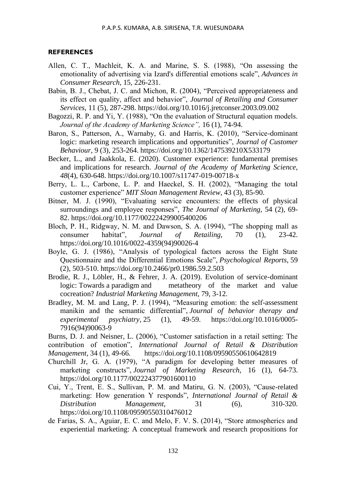#### **REFERENCES**

- Allen, C. T., Machleit, K. A. and Marine, S. S. (1988), "On assessing the emotionality of advertising via Izard's differential emotions scale", *Advances in Consumer Research,* 15*,* 226-231.
- Babin, B. J., Chebat, J. C. and Michon, R. (2004), "Perceived appropriateness and its effect on quality, affect and behavior", *Journal of Retailing and Consumer Services*, 11 (5), 287-298. https://doi.org/10.1016/j.jretconser.2003.09.002
- Bagozzi, R. P. and Yi, Y. (1988), "On the evaluation of Structural equation models. *Journal of the Academy of Marketing Science",* 16 (1), 74-94.
- Baron, S., Patterson, A., Warnaby, G. and Harris, K. (2010), "Service-dominant logic: marketing research implications and opportunities", *Journal of Customer Behaviour*, 9 (3), 253-264. https://doi.org/10.1362/147539210X533179
- Becker, L., and Jaakkola, E. (2020). Customer experience: fundamental premises and implications for research. *Journal of the Academy of Marketing Science*, *48*(4), 630-648. https://doi.org/10.1007/s11747-019-00718-x
- Berry, L. L., Carbone, L. P. and Haeckel, S. H. (2002), "Managing the total customer experience" *MIT Sloan Management Review*, 43 (3), 85-90.
- Bitner, M. J. (1990), "Evaluating service encounters: the effects of physical surroundings and employee responses", *The Journal of Marketing*, 54 (2), 69- 82. https://doi.org/10.1177/002224299005400206
- Bloch, P. H., Ridgway, N. M. and Dawson, S. A. (1994), "The shopping mall as consumer habitat", *Journal of Retailing*, 70 (1), 23-42. https://doi.org/10.1016/0022-4359(94)90026-4
- Boyle, G. J. (1986), "Analysis of typological factors across the Eight State Questionnaire and the Differential Emotions Scale", *Psychological Reports*, 59 (2), 503-510. https://doi.org/10.2466/pr0.1986.59.2.503
- Brodie, R. J., Löbler, H., & Fehrer, J. A. (2019). Evolution of service-dominant logic: Towards a paradigm and metatheory of the market and value cocreation? *Industrial Marketing Management*, 79, 3-12.
- Bradley, M. M. and Lang, P. J. (1994), "Measuring emotion: the self-assessment manikin and the semantic differential", *Journal of behavior therapy and experimental psychiatry*, 25 (1), 49-59. https://doi.org/10.1016/0005- 7916(94)90063-9
- Burns, D. J. and Neisner, L. (2006), "Customer satisfaction in a retail setting: The contribution of emotion", *International Journal of Retail & Distribution Management*, 34 (1), 49-66. https://doi.org/10.1108/09590550610642819
- Churchill Jr, G. A. (1979), "A paradigm for developing better measures of marketing constructs", *Journal of Marketing Research*, 16 (1), 64-73. https://doi.org/10.1177/002224377901600110
- Cui, Y., Trent, E. S., Sullivan, P. M. and Matiru, G. N. (2003), "Cause-related marketing: How generation Y responds", *International Journal of Retail & Distribution Management*, 31 (6), 310-320. https://doi.org/10.1108/09590550310476012
- de Farias, S. A., Aguiar, E. C. and Melo, F. V. S. (2014), "Store atmospherics and experiential marketing: A conceptual framework and research propositions for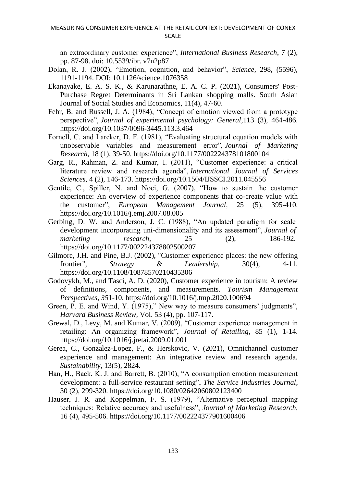an extraordinary customer experience", *International Business Research*, 7 (2), pp. 87-98. doi: 10.5539/ibr. v7n2p87

- Dolan, R. J. (2002), "Emotion, cognition, and behavior", *Science*, 298, (5596), 1191-1194. DOI: 10.1126/science.1076358
- Ekanayake, E. A. S. K., & Karunarathne, E. A. C. P. (2021), Consumers' Post-Purchase Regret Determinants in Sri Lankan shopping malls. South Asian Journal of Social Studies and Economics, 11(4), 47-60.
- Fehr, B. and Russell, J. A. (1984), "Concept of emotion viewed from a prototype perspective", *Journal of experimental psychology: General*,113 (3), 464-486. https://doi.org/10.1037/0096-3445.113.3.464
- Fornell, C. and Larcker, D. F. (1981), "Evaluating structural equation models with unobservable variables and measurement error", *Journal of Marketing Research*, 18 (1), 39-50. https://doi.org/10.1177/002224378101800104
- Garg, R., Rahman, Z. and Kumar, I. (2011), "Customer experience: a critical literature review and research agenda", *International Journal of Services Sciences*, 4 (2), 146-173. https://doi.org/10.1504/IJSSCI.2011.045556
- Gentile, C., Spiller, N. and Noci, G. (2007), "How to sustain the customer experience: An overview of experience components that co-create value with the customer", *European Management Journal,* 25 (5), 395-410. https://doi.org/10.1016/j.emj.2007.08.005
- Gerbing, D. W. and Anderson, J. C. (1988), "An updated paradigm for scale development incorporating uni-dimensionality and its assessment", *Journal of marketing research*, 25 (2), 186-192. https://doi.org/10.1177/002224378802500207
- Gilmore, J.H. and Pine, B.J. (2002), "Customer experience places: the new offering frontier", *Strategy & Leadership*, 30(4), 4-11. https://doi.org/10.1108/10878570210435306
- Godovykh, M., and Tasci, A. D. (2020), Customer experience in tourism: A review of definitions, components, and measurements. *Tourism Management Perspectives*, *35*1-10. https://doi.org/10.1016/j.tmp.2020.100694
- Green, P. E. and Wind, Y. (1975)," New way to measure consumers' judgments", *Harvard Business Review,* Vol. 53 (4), pp. 107-117.
- Grewal, D., Levy, M. and Kumar, V. (2009), "Customer experience management in retailing: An organizing framework", *Journal of Retailing*, 85 (1), 1-14. https://doi.org/10.1016/j.jretai.2009.01.001
- Gerea, C., Gonzalez-Lopez, F., & Herskovic, V. (2021), Omnichannel customer experience and management: An integrative review and research agenda. *Sustainability*, 13(5), 2824.
- Han, H., Back, K. J. and Barrett, B. (2010), "A consumption emotion measurement development: a full-service restaurant setting", *The Service Industries Journal*, 30 (2), 299-320. https://doi.org/10.1080/02642060802123400
- Hauser, J. R. and Koppelman, F. S. (1979), "Alternative perceptual mapping techniques: Relative accuracy and usefulness", *Journal of Marketing Research,* 16 (4), 495-506. https://doi.org/10.1177/002224377901600406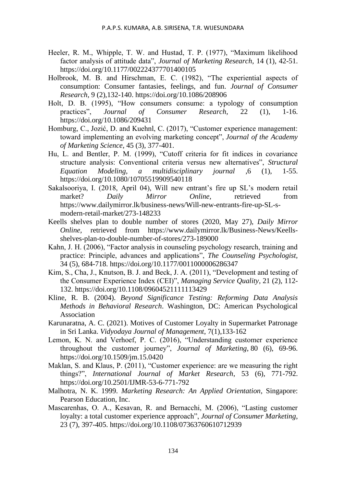- Heeler, R. M., Whipple, T. W. and Hustad, T. P. (1977), "Maximum likelihood factor analysis of attitude data", *Journal of Marketing Research*, 14 (1), 42-51. https://doi.org/10.1177/002224377701400105
- Holbrook, M. B. and Hirschman, E. C. (1982), "The experiential aspects of consumption: Consumer fantasies, feelings, and fun. *Journal of Consumer Research*, 9 (2),132-140. https://doi.org/10.1086/208906
- Holt, D. B. (1995), "How consumers consume: a typology of consumption practices", *Journal of Consumer Research*, 22 (1), 1-16. https://doi.org/10.1086/209431
- Homburg, C., Jozić, D. and Kuehnl, C. (2017), "Customer experience management: toward implementing an evolving marketing concept", *Journal of the Academy of Marketing Science*, 45 (3), 377-401.
- Hu, L. and Bentler, P. M. (1999), "Cutoff criteria for fit indices in covariance structure analysis: Conventional criteria versus new alternatives", *Structural Equation Modeling, a multidisciplinary journal* ,6 (1), 1-55. <https://doi.org/10.1080/10705519909540118>
- Sakalsooriya, I. (2018, April 04), Will new entrant's fire up SL's modern retail market? *Daily Mirror Online,* retrieved from [https://www.dailymirror.lk/business-news/Will-new-entrants-fire-up-SL-s](https://www.dailymirror.lk/business-news/Will-new-entrants-fire-up-SL-s-modern-retail-market/273-148233)[modern-retail-market/273-148233](https://www.dailymirror.lk/business-news/Will-new-entrants-fire-up-SL-s-modern-retail-market/273-148233)
- Keells shelves plan to double number of stores (2020, May 27), *Daily Mirror Online,* retrieved from https://www.dailymirror.lk/Business-News/Keellsshelves-plan-to-double-number-of-stores/273-189000
- Kahn, J. H. (2006), "Factor analysis in counseling psychology research, training and practice: Principle, advances and applications", *The Counseling Psychologist,* 34 (5), 684-718. https://doi.org/10.1177/0011000006286347
- Kim, S., Cha, J., Knutson, B. J. and Beck, J. A. (2011), "Development and testing of the Consumer Experience Index (CEI)", *Managing Service Quality*, 21 (2), 112- 132. https://doi.org/10.1108/09604521111113429
- Kline, R. B. (2004). *Beyond Significance Testing: Reforming Data Analysis Methods in Behavioral Research*. Washington, DC: American Psychological Association
- Karunaratna, A. C. (2021). Motives of Customer Loyalty in Supermarket Patronage in Sri Lanka. *Vidyodaya Journal of Management*, 7(1),133-162
- Lemon, K. N. and Verhoef, P. C. (2016), "Understanding customer experience throughout the customer journey", *Journal of Marketing*, 80 (6), 69-96. https://doi.org/10.1509/jm.15.0420
- Maklan, S. and Klaus, P. (2011), "Customer experience: are we measuring the right things?", *International Journal of Market Research*, 53 (6), 771-792. https://doi.org/10.2501/IJMR-53-6-771-792
- Malhotra, N. K. 1999. *Marketing Research: An Applied Orientation*, Singapore: Pearson Education, Inc.
- Mascarenhas, O. A., Kesavan, R. and Bernacchi, M. (2006), "Lasting customer loyalty: a total customer experience approach", *Journal of Consumer Marketing*, 23 (7), 397-405. https://doi.org/10.1108/07363760610712939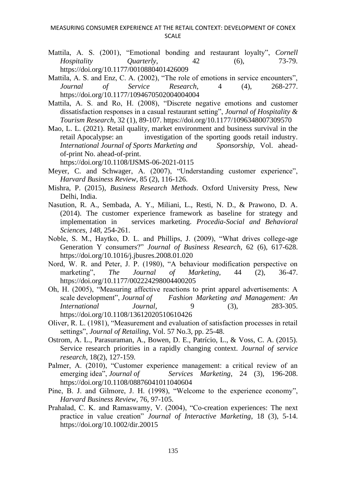- Mattila, A. S. (2001), "Emotional bonding and restaurant loyalty", *Cornell Hospitality Quarterly*, 42 (6), 73-79. https://doi.org/10.1177/0010880401426009
- Mattila, A. S. and Enz, C. A. (2002), "The role of emotions in service encounters", *Journal of Service Research*, 4 (4), 268-277. https://doi.org/10.1177/1094670502004004004
- Mattila, A. S. and Ro, H. (2008), "Discrete negative emotions and customer dissatisfaction responses in a casual restaurant setting", *Journal of Hospitality & Tourism Research*, 32 (1), 89-107. https://doi.org/10.1177/1096348007309570
- Mao, L. L. (2021). Retail quality, market environment and business survival in the retail Apocalypse: an investigation of the sporting goods retail industry. *International Journal of Sports Marketing and Sponsorship*, Vol. aheadof-print No. ahead-of-print.

https://doi.org/10.1108/IJSMS-06-2021-0115

- Meyer, C. and Schwager, A. (2007), "Understanding customer experience", *Harvard Business Review,* 85 (2), 116-126.
- Mishra, P. (2015), *Business Research Methods*. Oxford University Press, New Delhi, India.
- Nasution, R. A., Sembada, A. Y., Miliani, L., Resti, N. D., & Prawono, D. A. (2014). The customer experience framework as baseline for strategy and implementation in services marketing. *Procedia-Social and Behavioral Sciences*, *148*, 254-261.
- Noble, S. M., Haytko, D. L. and Phillips, J. (2009), "What drives college-age Generation Y consumers?" *Journal of Business Research*, 62 (6), 617-628. https://doi.org/10.1016/j.jbusres.2008.01.020
- Nord, W. R. and Peter, J. P. (1980), "A behaviour modification perspective on marketing", *The Journal of Marketing*, 44 (2), 36-47. https://doi.org/10.1177/002224298004400205
- Oh, H. (2005), "Measuring affective reactions to print apparel advertisements: A scale development", *Journal of Fashion Marketing and Management: An International Journal*, 9 (3), 283-305. https://doi.org/10.1108/13612020510610426
- Oliver, R. L. (1981), "Measurement and evaluation of satisfaction processes in retail settings", *Journal of Retailing*, Vol. 57 No.3, pp. 25-48.
- Ostrom, A. L., Parasuraman, A., Bowen, D. E., Patrício, L., & Voss, C. A. (2015). Service research priorities in a rapidly changing context. *Journal of service research*, 18(2), 127-159.
- Palmer, A. (2010), "Customer experience management: a critical review of an emerging idea", *Journal of Services Marketing*, 24 (3), 196-208. https://doi.org/10.1108/08876041011040604
- Pine, B. J. and Gilmore, J. H. (1998), "Welcome to the experience economy", *Harvard Business Review,* 76, 97-105.
- Prahalad, C. K. and Ramaswamy, V. (2004), "Co-creation experiences: The next practice in value creation" *Journal of Interactive Marketing*, 18 (3), 5-14. https://doi.org/10.1002/dir.20015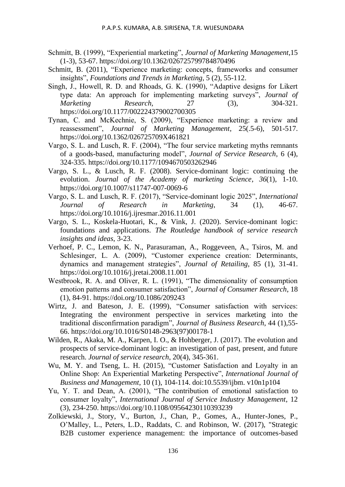- Schmitt, B. (1999), "Experiential marketing", *Journal of Marketing Management*,15 (1-3), 53-67. https://doi.org/10.1362/026725799784870496
- Schmitt, B. (2011), "Experience marketing: concepts, frameworks and consumer insights", *Foundations and Trends in Marketing*, 5 (2), 55-112.
- Singh, J., Howell, R. D. and Rhoads, G. K. (1990), "Adaptive designs for Likert type data: An approach for implementing marketing surveys", *Journal of Marketing Research,* 27 (3), 304-321. https://doi.org/10.1177/002224379002700305
- Tynan, C. and McKechnie, S. (2009), "Experience marketing: a review and reassessment", *Journal of Marketing Management*, 25(.5-6), 501-517. https://doi.org/10.1362/026725709X461821
- Vargo, S. L. and Lusch, R. F. (2004), "The four service marketing myths remnants of a goods-based, manufacturing model", *Journal of Service Research*, 6 (4), 324-335. https://doi.org/10.1177/1094670503262946
- Vargo, S. L., & Lusch, R. F. (2008). Service-dominant logic: continuing the evolution. *Journal of the Academy of marketing Science*, *36*(1), 1-10. https://doi.org/10.1007/s11747-007-0069-6
- Vargo, S. L. and Lusch, R. F. (2017), "Service-dominant logic 2025", *International Journal of Research in Marketing*, 34 (1), 46-67. https://doi.org/10.1016/j.ijresmar.2016.11.001
- Vargo, S. L., Koskela-Huotari, K., & Vink, J. (2020). Service-dominant logic: foundations and applications. *The Routledge handbook of service research insights and ideas*, 3-23.
- Verhoef, P. C., Lemon, K. N., Parasuraman, A., Roggeveen, A., Tsiros, M. and Schlesinger, L. A. (2009), "Customer experience creation: Determinants, dynamics and management strategies", *Journal of Retailing*, 85 (1), 31-41. https://doi.org/10.1016/j.jretai.2008.11.001
- Westbrook, R. A. and Oliver, R. L. (1991), "The dimensionality of consumption emotion patterns and consumer satisfaction", *Journal of Consumer Research*, 18 (1), 84-91. https://doi.org/10.1086/209243
- Wirtz, J. and Bateson, J. E. (1999), "Consumer satisfaction with services: Integrating the environment perspective in services marketing into the traditional disconfirmation paradigm", *Journal of Business Research*, 44 (1),55- 66. https://doi.org/10.1016/S0148-2963(97)00178-1
- Wilden, R., Akaka, M. A., Karpen, I. O., & Hohberger, J. (2017). The evolution and prospects of service-dominant logic: an investigation of past, present, and future research. *Journal of service research*, 20(4), 345-361.
- Wu, M. Y. and Tseng, L. H. (2015), "Customer Satisfaction and Loyalty in an Online Shop: An Experiential Marketing Perspective", *International Journal of Business and Management*, 10 (1), 104-114. doi:10.5539/ijbm. v10n1p104
- Yu, Y. T. and Dean, A. (2001), "The contribution of emotional satisfaction to consumer loyalty", *International Journal of Service Industry Management*, 12 (3), 234-250. https://doi.org/10.1108/09564230110393239
- Zolkiewski, J., Story, V., Burton, J., Chan, P., Gomes, A., Hunter-Jones, P., O'Malley, L., Peters, L.D., Raddats, C. and Robinson, W. (2017), "Strategic B2B customer experience management: the importance of outcomes-based